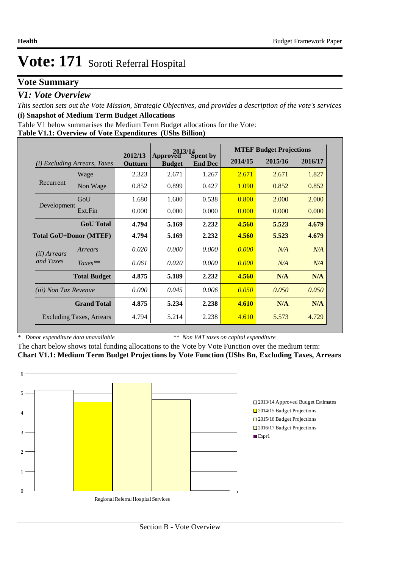### **Vote Summary**

### *V1: Vote Overview*

*This section sets out the Vote Mission, Strategic Objectives, and provides a description of the vote's services* **(i) Snapshot of Medium Term Budget Allocations** 

Table V1 below summarises the Medium Term Budget allocations for the Vote:

#### **Table V1.1: Overview of Vote Expenditures (UShs Billion)**

|                               |                                 | $2013/14$<br>ved $S$ pent by |                           |                |         | <b>MTEF Budget Projections</b> |         |
|-------------------------------|---------------------------------|------------------------------|---------------------------|----------------|---------|--------------------------------|---------|
| (i)                           | <i>Excluding Arrears, Taxes</i> | 2012/13<br>Outturn           | Approved<br><b>Budget</b> | <b>End Dec</b> | 2014/15 | 2015/16                        | 2016/17 |
|                               | Wage                            | 2.323                        | 2.671                     | 1.267          | 2.671   | 2.671                          | 1.827   |
| Recurrent                     | Non Wage                        | 0.852                        | 0.899                     | 0.427          | 1.090   | 0.852                          | 0.852   |
|                               | GoU                             | 1.680                        | 1.600                     | 0.538          | 0.800   | 2.000                          | 2.000   |
| Development                   | Ext.Fin                         | 0.000                        | 0.000                     | 0.000          | 0.000   | 0.000                          | 0.000   |
|                               | <b>GoU</b> Total                | 4.794                        | 5.169                     | 2.232          | 4.560   | 5.523                          | 4.679   |
| <b>Total GoU+Donor (MTEF)</b> |                                 | 4.794                        | 5.169                     | 2.232          | 4.560   | 5.523                          | 4.679   |
| ( <i>ii</i> ) Arrears         | Arrears                         | 0.020                        | 0.000                     | 0.000          | 0.000   | N/A                            | N/A     |
| and Taxes                     | $Taxes**$                       | 0.061                        | 0.020                     | 0.000          | 0.000   | N/A                            | N/A     |
|                               | <b>Total Budget</b>             | 4.875                        | 5.189                     | 2.232          | 4.560   | N/A                            | N/A     |
| <i>(iii)</i> Non Tax Revenue  |                                 | 0.000                        | 0.045                     | 0.006          | 0.050   | 0.050                          | 0.050   |
|                               | <b>Grand Total</b>              | 4.875                        | 5.234                     | 2.238          | 4.610   | N/A                            | N/A     |
|                               | <b>Excluding Taxes, Arrears</b> | 4.794                        | 5.214                     | 2.238          | 4.610   | 5.573                          | 4.729   |

*\* Donor expenditure data unavailable*

*\*\* Non VAT taxes on capital expenditure*

The chart below shows total funding allocations to the Vote by Vote Function over the medium term: **Chart V1.1: Medium Term Budget Projections by Vote Function (UShs Bn, Excluding Taxes, Arrears**

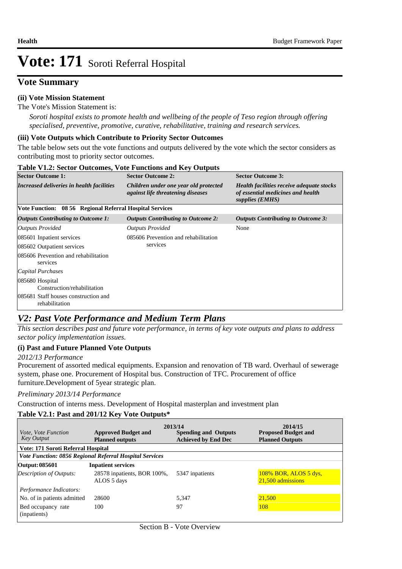# **Vote Summary**

#### **(ii) Vote Mission Statement**

The Vote's Mission Statement is:

*Soroti hospital exists to promote health and wellbeing of the people of Teso region through offering specialised, preventive, promotive, curative, rehabilitative, training and research services.*

#### **(iii) Vote Outputs which Contribute to Priority Sector Outcomes**

The table below sets out the vote functions and outputs delivered by the vote which the sector considers as contributing most to priority sector outcomes.

| <b>Table V1.2: Sector Outcomes, Vote Functions and Key Outputs</b> |                                                          |                                                                                   |                                                                                                          |  |  |  |  |
|--------------------------------------------------------------------|----------------------------------------------------------|-----------------------------------------------------------------------------------|----------------------------------------------------------------------------------------------------------|--|--|--|--|
| <b>Sector Outcome 1:</b>                                           |                                                          | <b>Sector Outcome 2:</b>                                                          | <b>Sector Outcome 3:</b>                                                                                 |  |  |  |  |
|                                                                    | Increased deliveries in health facilities                | Children under one year old protected<br><i>against life threatening diseases</i> | <b>Health facilities receive adequate stocks</b><br>of essential medicines and health<br>supplies (EMHS) |  |  |  |  |
|                                                                    | Vote Function: 08 56 Regional Referral Hospital Services |                                                                                   |                                                                                                          |  |  |  |  |
| <b>Outputs Contributing to Outcome 1:</b>                          |                                                          | <b>Outputs Contributing to Outcome 2:</b>                                         | <b>Outputs Contributing to Outcome 3:</b>                                                                |  |  |  |  |
| Outputs Provided                                                   |                                                          | <b>Outputs Provided</b>                                                           | None                                                                                                     |  |  |  |  |
| 085601 Inpatient services                                          |                                                          | 085606 Prevention and rehabilitation                                              |                                                                                                          |  |  |  |  |
| 085602 Outpatient services                                         |                                                          | services                                                                          |                                                                                                          |  |  |  |  |
| 085606 Prevention and rehabilitation<br>services                   |                                                          |                                                                                   |                                                                                                          |  |  |  |  |
| Capital Purchases                                                  |                                                          |                                                                                   |                                                                                                          |  |  |  |  |
| 085680 Hospital                                                    | Construction/rehabilitation                              |                                                                                   |                                                                                                          |  |  |  |  |
| 085681 Staff houses construction and<br>rehabilitation             |                                                          |                                                                                   |                                                                                                          |  |  |  |  |

### *V2: Past Vote Performance and Medium Term Plans*

*This section describes past and future vote performance, in terms of key vote outputs and plans to address sector policy implementation issues.* 

#### **(i) Past and Future Planned Vote Outputs**

#### *2012/13 Performance*

Procurement of assorted medical equipments. Expansion and renovation of TB ward. Overhaul of sewerage system, phase one. Procurement of Hospital bus. Construction of TFC. Procurement of office furniture.Development of 5year strategic plan.

#### *Preliminary 2013/14 Performance*

Construction of interns mess. Development of Hospital masterplan and investment plan

#### **Table V2.1: Past and 201/12 Key Vote Outputs\***

| <i>Vote, Vote Function</i>         | <b>Approved Budget and</b>                              | 2013/14<br><b>Spending and Outputs</b> | 2014/15<br><b>Proposed Budget and</b>      |
|------------------------------------|---------------------------------------------------------|----------------------------------------|--------------------------------------------|
| <b>Key Output</b>                  | <b>Planned outputs</b>                                  | <b>Achieved by End Dec</b>             | <b>Planned Outputs</b>                     |
| Vote: 171 Soroti Referral Hospital |                                                         |                                        |                                            |
|                                    | Vote Function: 0856 Regional Referral Hospital Services |                                        |                                            |
| Output: 085601                     | <b>Inpatient services</b>                               |                                        |                                            |
| Description of Outputs:            | 28578 inpatients, BOR 100%,<br>ALOS 5 days              | 5347 inpatients                        | 108% BOR, ALOS 5 dys,<br>21,500 admissions |
| Performance Indicators:            |                                                         |                                        |                                            |
| No. of in patients admitted        | 28600                                                   | 5.347                                  | 21.500                                     |
| Bed occupancy rate<br>(inpatients) | 100                                                     | 97                                     | 108                                        |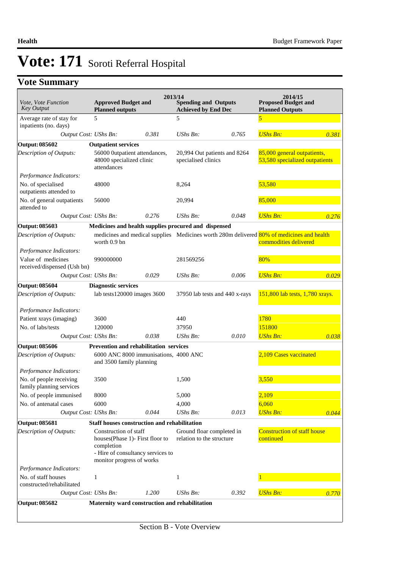# **Vote Summary**

| Vote, Vote Function                                 | <b>Approved Budget and</b>                                                                                                                 |       | 2013/14<br><b>Spending and Outputs</b>                 |                                | 2014/15<br><b>Proposed Budget and</b>                                                                              |       |
|-----------------------------------------------------|--------------------------------------------------------------------------------------------------------------------------------------------|-------|--------------------------------------------------------|--------------------------------|--------------------------------------------------------------------------------------------------------------------|-------|
| <b>Key Output</b>                                   | <b>Planned outputs</b>                                                                                                                     |       | <b>Achieved by End Dec</b>                             |                                | <b>Planned Outputs</b>                                                                                             |       |
| Average rate of stay for<br>inpatients (no. days)   | 5                                                                                                                                          |       | 5                                                      |                                | 5                                                                                                                  |       |
| Output Cost: UShs Bn:                               |                                                                                                                                            | 0.381 | $UShs Bn$ :                                            | 0.765                          | <b>UShs Bn:</b>                                                                                                    | 0.381 |
| Output: 085602                                      | <b>Outpatient services</b>                                                                                                                 |       |                                                        |                                |                                                                                                                    |       |
| <b>Description of Outputs:</b>                      | 56000 0utpatient attendances,<br>48000 specialized clinic<br>attendances                                                                   |       | 20,994 Out patients and 8264<br>specialised clinics    |                                | 85,000 general outpatients,<br>53,580 specialized outpatients                                                      |       |
| Performance Indicators:                             |                                                                                                                                            |       |                                                        |                                |                                                                                                                    |       |
| No. of specialised<br>outpatients attended to       | 48000                                                                                                                                      |       | 8,264                                                  |                                | 53,580                                                                                                             |       |
| No. of general outpatients<br>attended to           | 56000                                                                                                                                      |       | 20,994                                                 |                                | 85,000                                                                                                             |       |
| Output Cost: UShs Bn:                               |                                                                                                                                            | 0.276 | UShs Bn:                                               | 0.048                          | <b>UShs Bn:</b>                                                                                                    | 0.276 |
| Output: 085603                                      | Medicines and health supplies procured and dispensed                                                                                       |       |                                                        |                                |                                                                                                                    |       |
| Description of Outputs:                             | worth 0.9 bn                                                                                                                               |       |                                                        |                                | medicines and medical supplies Medicines worth 280m delivered 80% of medicines and health<br>commodities delivered |       |
| Performance Indicators:                             |                                                                                                                                            |       |                                                        |                                |                                                                                                                    |       |
| Value of medicines<br>received/dispensed (Ush bn)   | 990000000                                                                                                                                  |       | 281569256                                              |                                | 80%                                                                                                                |       |
| Output Cost: UShs Bn:                               |                                                                                                                                            | 0.029 | $UShs Bn$ :                                            | 0.006                          | <b>UShs Bn:</b>                                                                                                    | 0.029 |
| Output: 085604                                      | <b>Diagnostic services</b>                                                                                                                 |       |                                                        |                                |                                                                                                                    |       |
| Description of Outputs:                             | lab tests120000 images 3600                                                                                                                |       |                                                        | 37950 lab tests and 440 x-rays | 151,800 lab tests, 1,780 xrays.                                                                                    |       |
| Performance Indicators:                             |                                                                                                                                            |       |                                                        |                                |                                                                                                                    |       |
| Patient xrays (imaging)                             | 3600                                                                                                                                       |       | 440                                                    |                                | 1780                                                                                                               |       |
| No. of labs/tests                                   | 120000                                                                                                                                     |       | 37950                                                  |                                | 151800                                                                                                             |       |
| Output Cost: UShs Bn:                               |                                                                                                                                            | 0.038 | $UShs Bn$ :                                            | 0.010                          | <b>UShs Bn:</b>                                                                                                    | 0.038 |
| <b>Output: 085606</b>                               | <b>Prevention and rehabilitation services</b>                                                                                              |       |                                                        |                                |                                                                                                                    |       |
| Description of Outputs:                             | 6000 ANC 8000 immunisations, 4000 ANC<br>and 3500 family planning                                                                          |       |                                                        |                                | 2,109 Cases vaccinated                                                                                             |       |
| Performance Indicators:                             |                                                                                                                                            |       |                                                        |                                |                                                                                                                    |       |
| No. of people receiving<br>family planning services | 3500                                                                                                                                       |       | 1,500                                                  |                                | 3,550                                                                                                              |       |
| No. of people immunised                             | 8000                                                                                                                                       |       | 5,000                                                  |                                | 2,109                                                                                                              |       |
| No. of antenatal cases                              | 6000                                                                                                                                       |       | 4,000                                                  |                                | 6,060                                                                                                              |       |
| Output Cost: UShs Bn:                               |                                                                                                                                            | 0.044 | UShs Bn:                                               | 0.013                          | <b>UShs Bn:</b>                                                                                                    | 0.044 |
| Output: 085681                                      | Staff houses construction and rehabilitation                                                                                               |       |                                                        |                                |                                                                                                                    |       |
| Description of Outputs:                             | Construction of staff<br>houses (Phase 1) - First floor to<br>completion<br>- Hire of consultancy services to<br>monitor progress of works |       | Ground floar completed in<br>relation to the structure |                                | <b>Construction of staff house</b><br>continued                                                                    |       |
| Performance Indicators:                             |                                                                                                                                            |       |                                                        |                                |                                                                                                                    |       |
| No. of staff houses<br>constructed/rehabilitated    | $\mathbf{1}$                                                                                                                               |       | 1                                                      |                                |                                                                                                                    |       |
| Output Cost: UShs Bn:                               |                                                                                                                                            | 1.200 | UShs Bn:                                               | 0.392                          | <b>UShs Bn:</b>                                                                                                    | 0.770 |
| <b>Output: 085682</b>                               | Maternity ward construction and rehabilitation                                                                                             |       |                                                        |                                |                                                                                                                    |       |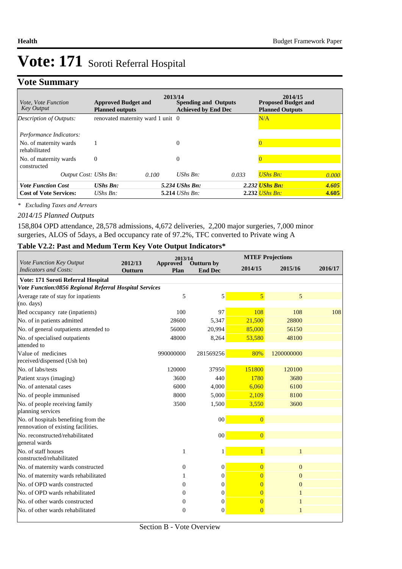## **Vote Summary**

| <i>Vote, Vote Function</i><br>Key Output | <b>Approved Budget and</b><br><b>Planned outputs</b> | 2013/14 | <b>Spending and Outputs</b><br><b>Achieved by End Dec</b> |       | 2014/15<br><b>Proposed Budget and</b><br><b>Planned Outputs</b> |       |
|------------------------------------------|------------------------------------------------------|---------|-----------------------------------------------------------|-------|-----------------------------------------------------------------|-------|
| Description of Outputs:                  | renovated maternity ward 1 unit 0                    |         |                                                           |       | N/A                                                             |       |
| Performance Indicators:                  |                                                      |         |                                                           |       |                                                                 |       |
| No. of maternity wards<br>rehabilitated  |                                                      |         | 0                                                         |       |                                                                 |       |
| No. of maternity wards<br>constructed    | $\Omega$                                             |         | $\Omega$                                                  |       |                                                                 |       |
| Output Cost: UShs Bn:                    |                                                      | 0.100   | UShs $Bn$ :                                               | 0.033 | <b>UShs Bn:</b>                                                 | 0.000 |
| <b>Vote Function Cost</b>                | <b>UShs Bn:</b>                                      |         | 5.234 UShs Bn:                                            |       | 2.232 <i>UShs Bn:</i>                                           | 4.605 |
| <b>Cost of Vote Services:</b>            | UShs $Bn$ :                                          |         | 5.214 <i>UShs Bn</i> :                                    |       | 2.232 <i>UShs Bn:</i>                                           | 4.605 |

*\* Excluding Taxes and Arrears*

#### *2014/15 Planned Outputs*

158,804 OPD attendance, 28,578 admissions, 4,672 deliveries, 2,200 major surgeries, 7,000 minor surgeries, ALOS of 5days, a Bed occupancy rate of 97.2%, TFC converted to Private wing A

#### **Table V2.2: Past and Medum Term Key Vote Output Indicators\***

|                                                                             |                    | 2013/14          |                              |                | <b>MTEF Projections</b> |         |  |
|-----------------------------------------------------------------------------|--------------------|------------------|------------------------------|----------------|-------------------------|---------|--|
| Vote Function Key Output<br>Indicators and Costs:                           | 2012/13<br>Outturn | Approved<br>Plan | Outturn by<br><b>End Dec</b> | 2014/15        | 2015/16                 | 2016/17 |  |
| Vote: 171 Soroti Referral Hospital                                          |                    |                  |                              |                |                         |         |  |
| Vote Function:0856 Regional Referral Hospital Services                      |                    |                  |                              |                |                         |         |  |
| Average rate of stay for inpatients<br>(no. days)                           |                    | 5                | $\vert 5 \vert$              | 5              | 5                       |         |  |
| Bed occupancy rate (inpatients)                                             |                    | 100              | 97                           | 108            | 108                     | 108     |  |
| No. of in patients admitted                                                 |                    | 28600            | 5,347                        | 21,500         | 28800                   |         |  |
| No. of general outpatients attended to                                      |                    | 56000            | 20,994                       | 85,000         | 56150                   |         |  |
| No. of specialised outpatients<br>attended to                               |                    | 48000            | 8,264                        | 53,580         | 48100                   |         |  |
| Value of medicines<br>received/dispensed (Ush bn)                           |                    | 990000000        | 281569256                    | 80%            | 1200000000              |         |  |
| No. of labs/tests                                                           |                    | 120000           | 37950                        | 151800         | 120100                  |         |  |
| Patient xrays (imaging)                                                     |                    | 3600             | 440                          | 1780           | 3680                    |         |  |
| No. of antenatal cases                                                      |                    | 6000             | 4,000                        | 6.060          | 6100                    |         |  |
| No. of people immunised                                                     |                    | 8000             | 5,000                        | 2,109          | 8100                    |         |  |
| No. of people receiving family<br>planning services                         |                    | 3500             | 1,500                        | 3,550          | 3600                    |         |  |
| No. of hospitals benefiting from the<br>rennovation of existing facilities. |                    |                  | 00 <sup>1</sup>              | $\overline{0}$ |                         |         |  |
| No. reconstructed/rehabilitated<br>general wards                            |                    |                  | 00 <sup>1</sup>              | $\overline{0}$ |                         |         |  |
| No. of staff houses<br>constructed/rehabilitated                            |                    | $\mathbf{1}$     | 1                            | $\overline{1}$ |                         |         |  |
| No. of maternity wards constructed                                          |                    | $\mathbf{0}$     | $\vert 0 \vert$              | $\overline{0}$ | $\mathbf{0}$            |         |  |
| No. of maternity wards rehabilitated                                        |                    | 1                | $\vert 0 \vert$              | $\overline{0}$ | $\Omega$                |         |  |
| No. of OPD wards constructed                                                |                    | $\Omega$         | $\Omega$                     | $\overline{0}$ | $\Omega$                |         |  |
| No. of OPD wards rehabilitated                                              |                    | $\overline{0}$   | $\Omega$                     | $\overline{0}$ | 1                       |         |  |
| No. of other wards constructed                                              |                    | $\overline{0}$   | $\mathbf{0}$                 | $\overline{0}$ |                         |         |  |
| No. of other wards rehabilitated                                            |                    | $\theta$         | $\Omega$                     | $\overline{0}$ |                         |         |  |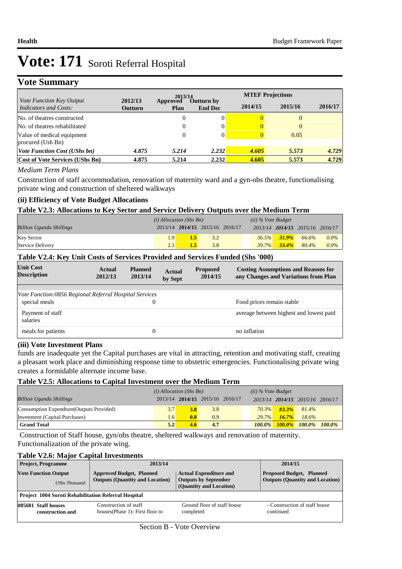# **Vote Summary**

| <i>Vote Function Key Output</i>                 |                    | 2013/14          |                                     | <b>MTEF Projections</b> |         |         |
|-------------------------------------------------|--------------------|------------------|-------------------------------------|-------------------------|---------|---------|
| Indicators and Costs:                           | 2012/13<br>Outturn | Approved<br>Plan | <b>Outturn by</b><br><b>End Dec</b> | 2014/15                 | 2015/16 | 2016/17 |
| No. of theatres constructed                     |                    | 0                |                                     |                         |         |         |
| No. of theatres rehabilitated                   |                    | 0                |                                     |                         |         |         |
| Value of medical equipment<br>procured (Ush Bn) |                    | 0                |                                     |                         | 0.05    |         |
| <b>Vote Function Cost (UShs bn)</b>             | 4.875              | 5.214            | 2.232                               | 4.605                   | 5.573   | 4.729   |
| <b>Cost of Vote Services (UShs Bn)</b>          | 4.875              | 5.214            | 2.232                               | 4.605                   | 5.573   | 4.729   |

#### *Medium Term Plans*

Construction of staff accommodation, renovation of maternity ward and a gyn-obs theatre, functionalising private wing and construction of sheltered walkways

#### **(ii) Efficiency of Vote Budget Allocations**

#### **Table V2.3: Allocations to Key Sector and Service Delivery Outputs over the Medium Term**

|                                 | $(i)$ Allocation (Shs Bn) |                                 |     | $(ii)$ % Vote Budget |                   |                                 |         |
|---------------------------------|---------------------------|---------------------------------|-----|----------------------|-------------------|---------------------------------|---------|
| <b>Billion Uganda Shillings</b> |                           | 2013/14 2014/15 2015/16 2016/17 |     |                      |                   | 2013/14 2014/15 2015/16 2016/17 |         |
| <b>Key Sector</b>               | 1.9 <sup>1</sup>          | 1.5                             | 3.2 |                      | $36.5\%$ $31.9\%$ | 66.6%                           | $0.0\%$ |
| Service Delivery                | 2.1                       |                                 | 3.8 |                      | $39.7\%$ $33.4\%$ | 80.4%                           | $0.0\%$ |

#### **Table V2.4: Key Unit Costs of Services Provided and Services Funded (Shs '000)**

| <b>Unit Cost</b><br><b>Description</b>                 | Actual<br>2012/13 | <b>Planned</b><br>2013/14 | <b>Actual</b><br>by Sept | <b>Proposed</b><br>2014/15 | <b>Costing Assumptions and Reasons for</b><br>any Changes and Variations from Plan |
|--------------------------------------------------------|-------------------|---------------------------|--------------------------|----------------------------|------------------------------------------------------------------------------------|
|                                                        |                   |                           |                          |                            |                                                                                    |
| Vote Function:0856 Regional Referral Hospital Services |                   |                           |                          |                            |                                                                                    |
| special meals                                          |                   | 0                         |                          |                            | Food prices remain stable                                                          |
| Payment of staff<br>salaries                           |                   |                           |                          |                            | average between highest and lowest paid                                            |
| meals for patients                                     |                   | 0                         |                          |                            | no inflation                                                                       |

#### **(iii) Vote Investment Plans**

funds are inadequate yet the Capital purchases are vital in attracting, retention and motivating staff, creating a pleasant work place and diminishing response time to obstetric emergencies. Functionalising private wing creates a formidable alternate income base.

#### **Table V2.5: Allocations to Capital Investment over the Medium Term**

|                                           | $(i)$ Allocation (Shs Bn) |                                 |     | $(ii)$ % Vote Budget |          |          |                                 |  |
|-------------------------------------------|---------------------------|---------------------------------|-----|----------------------|----------|----------|---------------------------------|--|
| <b>Billion Uganda Shillings</b>           |                           | 2013/14 2014/15 2015/16 2016/17 |     |                      |          |          | 2013/14 2014/15 2015/16 2016/17 |  |
| Consumption Expendture (Outputs Provided) | 3.7                       | 3.8                             | 3.8 |                      | $70.3\%$ | $83.3\%$ | 81.4%                           |  |
| Investment (Capital Purchases)            | $1.6^{\circ}$             | 0.8                             | 0.9 |                      | $29.7\%$ | $16.7\%$ | $18.6\%$                        |  |
| <b>Grand Total</b>                        | 5.2                       | 4.6                             | 4.7 |                      |          |          | 100.0% 100.0% 100.0% 100.0%     |  |

 Construction of Staff house, gyn/obs theatre, sheltered walkways and renovation of maternity. Functionalization of the private wing.

#### **Table V2.6: Major Capital Investments**

| <b>Project, Programme</b>                                   | 2013/14                                                                   |                                                                                         | 2014/15                                                                   |
|-------------------------------------------------------------|---------------------------------------------------------------------------|-----------------------------------------------------------------------------------------|---------------------------------------------------------------------------|
| <b>Vote Function Output</b><br><b>UShs Thousand</b>         | <b>Approved Budget, Planned</b><br><b>Outputs (Quantity and Location)</b> | <b>Actual Expenditure and</b><br><b>Outputs by September</b><br>(Quantity and Location) | <b>Proposed Budget, Planned</b><br><b>Outputs (Quantity and Location)</b> |
| <b>Project 1004 Soroti Rehabilitation Referral Hospital</b> |                                                                           |                                                                                         |                                                                           |
| 085681 Staff houses<br>construction and                     | Construction of staff<br>houses (Phase 1) - First floor to                | Ground floor of staff house<br>completed                                                | - Construction of staff house<br>continued                                |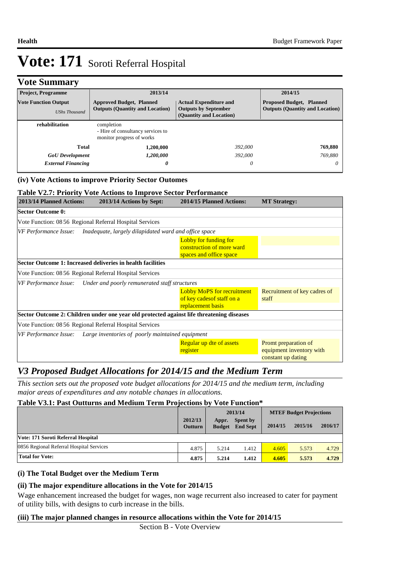## **Vote Summary**

| <b>Project, Programme</b>                           | 2013/14                                                                      |                                                                                         | 2014/15                                                                   |
|-----------------------------------------------------|------------------------------------------------------------------------------|-----------------------------------------------------------------------------------------|---------------------------------------------------------------------------|
| <b>Vote Function Output</b><br><b>UShs Thousand</b> | <b>Approved Budget, Planned</b><br><b>Outputs (Quantity and Location)</b>    | <b>Actual Expenditure and</b><br><b>Outputs by September</b><br>(Quantity and Location) | <b>Proposed Budget, Planned</b><br><b>Outputs (Quantity and Location)</b> |
| rehabilitation                                      | completion<br>- Hire of consultancy services to<br>monitor progress of works |                                                                                         |                                                                           |
| Total                                               | 1,200,000                                                                    | 392,000                                                                                 | 769,880                                                                   |
| <b>GoU</b> Development                              | 1,200,000                                                                    | 392,000                                                                                 | 769,880                                                                   |
| <b>External Financing</b>                           | 0                                                                            | 0                                                                                       | 0                                                                         |

#### **(iv) Vote Actions to improve Priority Sector Outomes**

#### **Table V2.7: Priority Vote Actions to Improve Sector Performance**

| 2013/14 Planned Actions: | 2013/14 Actions by Sept:                                                                  | 2014/15 Planned Actions:                                                             | <b>MT Strategy:</b>                                                    |
|--------------------------|-------------------------------------------------------------------------------------------|--------------------------------------------------------------------------------------|------------------------------------------------------------------------|
| <b>Sector Outcome 0:</b> |                                                                                           |                                                                                      |                                                                        |
|                          | Vote Function: 08 56 Regional Referral Hospital Services                                  |                                                                                      |                                                                        |
| VF Performance Issue:    | Inadequate, largely dilapidated ward and office space                                     |                                                                                      |                                                                        |
|                          |                                                                                           | Lobby for funding for<br>construction of more ward<br>spaces and office space        |                                                                        |
|                          | Sector Outcome 1: Increased deliveries in health facilities                               |                                                                                      |                                                                        |
|                          | Vote Function: 08 56 Regional Referral Hospital Services                                  |                                                                                      |                                                                        |
|                          | VF Performance Issue: Under and poorly remunerated staff structures                       |                                                                                      |                                                                        |
|                          |                                                                                           | <b>Lobby MoPS for recruitment</b><br>of key cades of staff on a<br>replacement basis | Recruitment of key cadres of<br>staff                                  |
|                          | Sector Outcome 2: Children under one year old protected against life threatening diseases |                                                                                      |                                                                        |
|                          | Vote Function: 08 56 Regional Referral Hospital Services                                  |                                                                                      |                                                                        |
|                          | VF Performance Issue: Large inventories of poorly maintained equipment                    |                                                                                      |                                                                        |
|                          |                                                                                           | Regular up dte of assets<br>register                                                 | Promt preparation of<br>equipment inventory with<br>constant up dating |

## *V3 Proposed Budget Allocations for 2014/15 and the Medium Term*

*This section sets out the proposed vote budget allocations for 2014/15 and the medium term, including major areas of expenditures and any notable changes in allocations.* 

#### **Table V3.1: Past Outturns and Medium Term Projections by Vote Function\***

|                                          |                           | 2013/14                |                             | <b>MTEF Budget Projections</b> |         |         |
|------------------------------------------|---------------------------|------------------------|-----------------------------|--------------------------------|---------|---------|
|                                          | 2012/13<br><b>Outturn</b> | Appr.<br><b>Budget</b> | Spent by<br><b>End Sept</b> | 2014/15                        | 2015/16 | 2016/17 |
| Vote: 171 Soroti Referral Hospital       |                           |                        |                             |                                |         |         |
| 0856 Regional Referral Hospital Services | 4.875                     | 5.214                  | 1.412                       | 4.605                          | 5.573   | 4.729   |
| Total for Vote:                          | 4.875                     | 5.214                  | 1.412                       | 4.605                          | 5.573   | 4.729   |

#### **(i) The Total Budget over the Medium Term**

#### **(ii) The major expenditure allocations in the Vote for 2014/15**

Wage enhancement increased the budget for wages, non wage recurrent also increased to cater for payment of utility bills, with designs to curb increase in the bills.

#### **(iii) The major planned changes in resource allocations within the Vote for 2014/15**

Section B - Vote Overview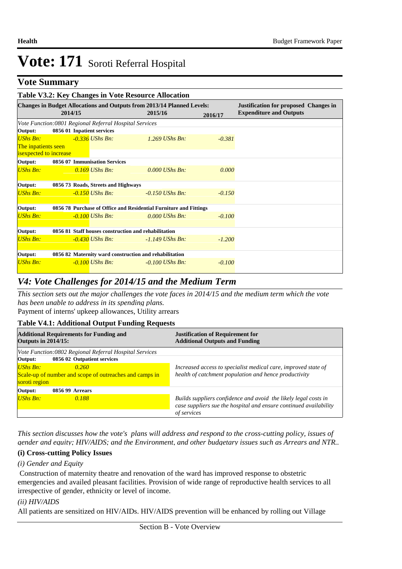### **Vote Summary**

| Table V3.2: Key Changes in Vote Resource Allocation                                                                           |                                                         |                                                                   |         |                   |          |                                |
|-------------------------------------------------------------------------------------------------------------------------------|---------------------------------------------------------|-------------------------------------------------------------------|---------|-------------------|----------|--------------------------------|
| <b>Changes in Budget Allocations and Outputs from 2013/14 Planned Levels:</b><br><b>Justification for proposed Changes in</b> |                                                         |                                                                   |         |                   |          |                                |
|                                                                                                                               | 2014/15                                                 |                                                                   | 2015/16 |                   | 2016/17  | <b>Expenditure and Outputs</b> |
|                                                                                                                               | Vote Function: 0801 Regional Referral Hospital Services |                                                                   |         |                   |          |                                |
| Output:                                                                                                                       | 0856 01 Inpatient services                              |                                                                   |         |                   |          |                                |
| $USh$ s Bn:                                                                                                                   |                                                         | $-0.336$ UShs Bn:                                                 |         | $1.269$ UShs Bn:  | $-0.381$ |                                |
| The inpatients seen                                                                                                           |                                                         |                                                                   |         |                   |          |                                |
| isexpected to increase                                                                                                        |                                                         |                                                                   |         |                   |          |                                |
| Output:                                                                                                                       |                                                         | 0856 07 Immunisation Services                                     |         |                   |          |                                |
| UShs Bn:                                                                                                                      |                                                         | $0.169$ UShs Bn:                                                  |         | $0.000$ UShs Bn:  | 0.000    |                                |
| Output:                                                                                                                       |                                                         | 0856 73 Roads, Streets and Highways                               |         |                   |          |                                |
| UShs Bn:                                                                                                                      |                                                         | $-0.150$ UShs Bn:                                                 |         | $-0.150$ UShs Bn: | $-0.150$ |                                |
| Output:                                                                                                                       |                                                         | 0856 78 Purchase of Office and Residential Furniture and Fittings |         |                   |          |                                |
| UShs Bn:                                                                                                                      |                                                         | $-0.100$ UShs Bn:                                                 |         | $0.000$ UShs Bn:  | $-0.100$ |                                |
| Output:                                                                                                                       |                                                         | 0856 81 Staff houses construction and rehabilitation              |         |                   |          |                                |
| UShs Bn:                                                                                                                      |                                                         | $-0.430$ UShs Bn:                                                 |         | $-1.149$ UShs Bn: | $-1.200$ |                                |
| Output:                                                                                                                       |                                                         | 0856 82 Maternity ward construction and rehabilitation            |         |                   |          |                                |
| <b>UShs Bn:</b>                                                                                                               |                                                         | $-0.100$ UShs Bn:                                                 |         | $-0.100$ UShs Bn: | $-0.100$ |                                |

### *V4: Vote Challenges for 2014/15 and the Medium Term*

Payment of interns' upkeep allowances, Utility arrears *This section sets out the major challenges the vote faces in 2014/15 and the medium term which the vote has been unable to address in its spending plans.*

### **Table V4.1: Additional Output Funding Requests**

| <b>Outputs in 2014/15:</b>  | <b>Additional Requirements for Funding and</b>                                         | <b>Justification of Requirement for</b><br><b>Additional Outputs and Funding</b>                                                                    |  |  |  |
|-----------------------------|----------------------------------------------------------------------------------------|-----------------------------------------------------------------------------------------------------------------------------------------------------|--|--|--|
| Output:                     | Vote Function: 0802 Regional Referral Hospital Services<br>0856 02 Outpatient services |                                                                                                                                                     |  |  |  |
| $UShs Bn:$<br>soroti region | 0.260<br>Scale-up of number and scope of outreaches and camps in                       | Increased access to specialist medical care, improved state of<br>health of catchment population and hence productivity                             |  |  |  |
| Output:                     | 0856 99 Arrears                                                                        |                                                                                                                                                     |  |  |  |
| UShs Bn:                    | 0.188                                                                                  | Builds suppliers confidence and avoid the likely legal costs in<br>case suppliers sue the hospital and ensure continued availability<br>of services |  |  |  |

*This section discusses how the vote's plans will address and respond to the cross-cutting policy, issues of gender and equity; HIV/AIDS; and the Environment, and other budgetary issues such as Arrears and NTR..* 

#### **(i) Cross-cutting Policy Issues**

#### *(i) Gender and Equity*

 Construction of maternity theatre and renovation of the ward has improved response to obstetric emergencies and availed pleasant facilities. Provision of wide range of reproductive health services to all irrespective of gender, ethnicity or level of income.

#### *(ii) HIV/AIDS*

All patients are sensitized on HIV/AIDs. HIV/AIDS prevention will be enhanced by rolling out Village